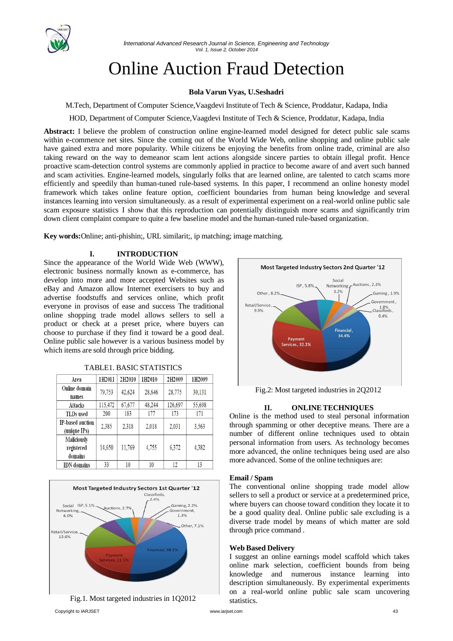

# Online Auction Fraud Detection

# **Bola Varun Vyas, U.Seshadri**

M.Tech, Department of Computer Science,Vaagdevi Institute of Tech & Science, Proddatur, Kadapa, India

HOD, Department of Computer Science,Vaagdevi Institute of Tech & Science, Proddatur, Kadapa, India

**Abstract:** I believe the problem of construction online engine-learned model designed for detect public sale scams within e-commence net sites. Since the coming out of the World Wide Web, online shopping and online public sale have gained extra and more popularity. While citizens be enjoying the benefits from online trade, criminal are also taking reward on the way to demeanor scam lent actions alongside sincere parties to obtain illegal profit. Hence proactive scam-detection control systems are commonly applied in practice to become aware of and avert such banned and scam activities. Engine-learned models, singularly folks that are learned online, are talented to catch scams more efficiently and speedily than human-tuned rule-based systems. In this paper, I recommend an online honesty model framework which takes online feature option, coefficient boundaries from human being knowledge and several instances learning into version simultaneously. as a result of experimental experiment on a real-world online public sale scam exposure statistics I show that this reproduction can potentially distinguish more scams and significantly trim down client complaint compare to quite a few baseline model and the human-tuned rule-based organization.

**Key words:**Online; anti-phishin;, URL similarit;, ip matching; image matching*.*

# **I. INTRODUCTION**

Since the appearance of the World Wide Web (WWW), electronic business normally known as e-commerce, has develop into more and more accepted Websites such as eBay and Amazon allow Internet exercisers to buy and advertise foodstuffs and services online, which profit everyone in provisos of ease and success The traditional online shopping trade model allows sellers to sell a product or check at a preset price, where buyers can choose to purchase if they find it toward be a good deal. Online public sale however is a various business model by which items are sold through price bidding.

| Area                                 | 1H2011  | 2H2010 | 1H2010 | 2H2009  | 1H2009 |
|--------------------------------------|---------|--------|--------|---------|--------|
| Online domain<br>names               | 79,753  | 42,624 | 28,646 | 28,775  | 30,131 |
| Attacks                              | 115,472 | 67,677 | 48,244 | 126,697 | 55,698 |
| <b>TLDs</b> used                     | 200     | 183    | 177    | 173     | 171    |
| IP-based auction<br>(unique IPs)     | 2,385   | 2,318  | 2,018  | 2,031   | 3,563  |
| Maliciously<br>registered<br>domains | 14,650  | 11,769 | 4,755  | 6,372   | 4,382  |
| <b>IDN</b> domains                   | 33      | 10     | 10     | 12      | 13     |

TABLE1. BASIC STATISTICS







Fig.2: Most targeted industries in 2Q2012

# **II. ONLINETECHNIQUES**

Online is the method used to steal personal information through spamming or other deceptive means. There are a number of different online techniques used to obtain personal information from users. As technology becomes more advanced, the online techniques being used are also more advanced. Some of the online techniques are:

#### **Email / Spam**

The conventional online shopping trade model allow sellers to sell a product or service at a predetermined price, where buyers can choose toward condition they locate it to be a good quality deal. Online public sale excluding is a diverse trade model by means of which matter are sold through price command .

#### **Web Based Delivery**

I suggest an online earnings model scaffold which takes online mark selection, coefficient bounds from being knowledge and numerous instance learning into description simultaneously. By experimental experiments on a real-world online public sale scam uncovering statistics.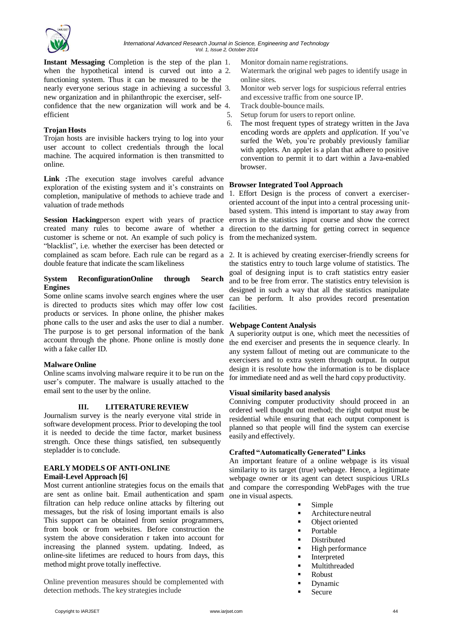

**Instant Messaging** Completion is the step of the plan 1. Monitor domain name registrations. when the hypothetical intend is curved out into a 2. Watermark the original web pages to identify usage in functioning system. Thus it can be measured to be the online sites. nearly everyone serious stage in achieving a successful 3. Monitor web server logs for suspicious referral entries new organization and in philanthropic the exerciser, self- and excessive traffic from one source IP. confidence that the new organization will work and be 4. Track double-bounce mails. efficient

# **Trojan Hosts**

Trojan hosts are invisible hackers trying to log into your user account to collect credentials through the local machine. The acquired information is then transmitted to online.

**Link :**The execution stage involves careful advance exploration of the existing system and it's constraints on completion, manipulative of methods to achieve trade and <sup>1</sup>. Effort Design is the process of convert a exerciservaluation of trade methods

**Session Hacking**person expert with years of practice created many rules to become aware of whether a customer is scheme or not. An example of such policy is "blacklist", i.e. whether the exerciser has been detected or complained as scam before. Each rule can be regard as a 2. It is achieved by creating exerciser-friendly screens for double feature that indicate the scam likeliness

### **System ReconfigurationOnline through Search Engines**

Some online scams involve search engines where the user is directed to products sites which may offer low cost products or services. In phone online, the phisher makes phone calls to the user and asks the user to dial a number. The purpose is to get personal information of the bank account through the phone. Phone online is mostly done with a fake caller ID.

# **Malware Online**

Online scams involving malware require it to be run on the user's computer. The malware is usually attached to the email sent to the user by the online.

# **III. LITERATUREREVIEW**

Journalism survey is the nearly everyone vital stride in software development process. Prior to developing the tool it is needed to decide the time factor, market business strength. Once these things satisfied, ten subsequently stepladder is to conclude.

# **EARLY MODELS OF ANTI-ONLINE**

# **Email-Level Approach [6]**

Most current antionline strategies focus on the emails that are sent as online bait. Email authentication and spam filtration can help reduce online attacks by filtering out messages, but the risk of losing important emails is also This support can be obtained from senior programmers, from book or from websites. Before construction the system the above consideration r taken into account for increasing the planned system. updating. Indeed, as online-site lifetimes are reduced to hours from days, this method might prove totally ineffective.

Online prevention measures should be complemented with detection methods. The key strategies include

- 
- 
- 
- 
- 5. Setup forum for users to report online.
- 6. The most frequent types of strategy written in the Java encoding words are *applets* and *application*. If you've surfed the Web, you're probably previously familiar with applets. An applet is a plan that adhere to positive convention to permit it to dart within a Java-enabled browser.

# **Browser Integrated Tool Approach**

oriented account of the input into a central processing unitbased system. This intend is important to stay away from errors in the statistics input course and show the correct direction to the dartning for getting correct in sequence from the mechanized system.

the statistics entry to touch large volume of statistics. The goal of designing input is to craft statistics entry easier and to be free from error. The statistics entry television is designed in such a way that all the statistics manipulate can be perform. It also provides record presentation facilities.

# **Webpage Content Analysis**

A superiority output is one, which meet the necessities of the end exerciser and presents the in sequence clearly. In any system fallout of meting out are communicate to the exercisers and to extra system through output. In output design it is resolute how the information is to be displace for immediate need and as well the hard copy productivity.

# **Visual similarity based analysis**

Conniving computer productivity should proceed in an ordered well thought out method; the right output must be residential while ensuring that each output component is planned so that people will find the system can exercise easily and effectively.

# **Crafted "Automatically Generated" Links**

An important feature of a online webpage is its visual similarity to its target (true) webpage. Hence, a legitimate webpage owner or its agent can detect suspicious URLs and compare the corresponding WebPages with the true one in visual aspects.

- Simple
- **Architecture neutral**
- Object oriented
- **Portable**
- **Distributed**
- $\blacksquare$  High performance
- **Interpreted**
- **Multithreaded**
- **Robust**
- Dynamic
- Secure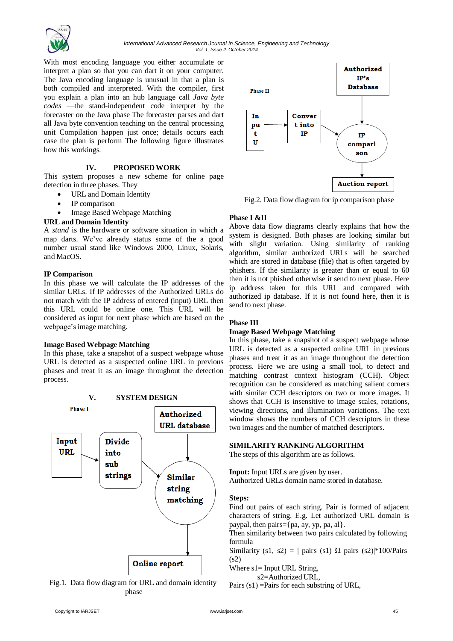

With most encoding language you either accumulate or interpret a plan so that you can dart it on your computer. The Java encoding language is unusual in that a plan is both compiled and interpreted. With the compiler, first you explain a plan into an hub language call *Java byte codes* —the stand-independent code interpret by the forecaster on the Java phase The forecaster parses and dart all Java byte convention teaching on the central processing unit Compilation happen just once; details occurs each case the plan is perform The following figure illustrates how this workings.

# **IV. PROPOSEDWORK**

This system proposes a new scheme for online page detection in three phases. They

- URL and Domain Identity
- IP comparison
- Image Based Webpage Matching

# **URL and Domain Identity**

A *stand* is the hardware or software situation in which a map darts. We've already status some of the a good number usual stand like Windows 2000, Linux, Solaris, and MacOS.

# **IP Comparison**

In this phase we will calculate the IP addresses of the similar URLs. If IP addresses of the Authorized URLs do not match with the IP address of entered (input) URL then this URL could be online one. This URL will be considered as input for next phase which are based on the webpage'simage matching.

# **Image Based Webpage Matching**

In this phase, take a snapshot of a suspect webpage whose URL is detected as a suspected online URL in previous phases and treat it as an image throughout the detection process.







Fig.2. Data flow diagram for ip comparison phase

# **Phase I &II**

Above data flow diagrams clearly explains that how the system is designed. Both phases are looking similar but with slight variation. Using similarity of ranking algorithm, similar authorized URLs will be searched which are stored in database (file) that is often targeted by phishers. If the similarity is greater than or equal to 60 then it is not phished otherwise it send to next phase. Here ip address taken for this URL and compared with authorized ip database. If it is not found here, then it is send to next phase.

# **Phase III**

# **Image Based Webpage Matching**

In this phase, take a snapshot of a suspect webpage whose URL is detected as a suspected online URL in previous phases and treat it as an image throughout the detection process. Here we are using a small tool, to detect and matching contrast context histogram (CCH). Object recognition can be considered as matching salient corners with similar CCH descriptors on two or more images. It shows that CCH is insensitive to image scales, rotations, viewing directions, and illumination variations. The text window shows the numbers of CCH descriptors in these two images and the number of matched descriptors.

# **SIMILARITY RANKINGALGORITHM**

The steps of this algorithm are as follows.

**Input:** Input URLs are given by user. Authorized URLs domain name stored in database.

#### **Steps:**

Find out pairs of each string. Pair is formed of adjacent characters of string. E.g. Let authorized URL domain is paypal, then pairs= $\{pa, ay, vp, pa, al\}$ .

Then similarity between two pairs calculated by following formula

Similarity (s1, s2) =  $|$  pairs (s1)  $\Omega$  pairs (s2)|\*100/Pairs (s2)

Where  $s1 =$  Input URL String,

s2=Authorized URL,

Pairs (s1) =Pairs for each substring of URL,